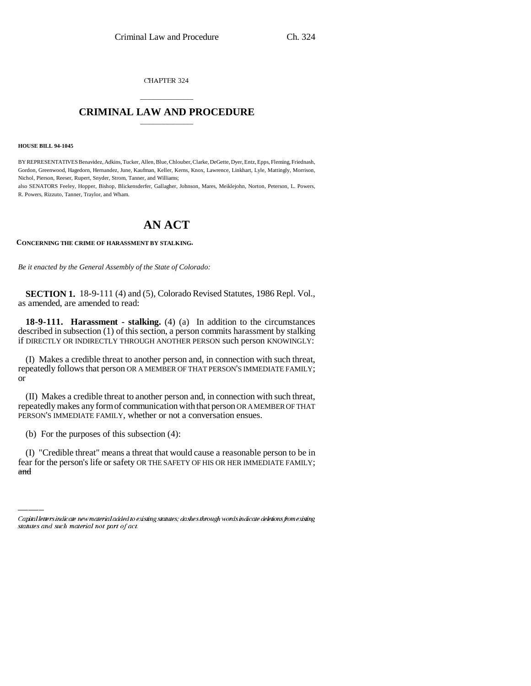CHAPTER 324

## \_\_\_\_\_\_\_\_\_\_\_\_\_\_\_ **CRIMINAL LAW AND PROCEDURE** \_\_\_\_\_\_\_\_\_\_\_\_\_\_\_

**HOUSE BILL 94-1045**

BY REPRESENTATIVES Benavidez, Adkins, Tucker, Allen, Blue, Chlouber, Clarke, DeGette, Dyer, Entz, Epps, Fleming, Friednash, Gordon, Greenwood, Hagedorn, Hernandez, June, Kaufman, Keller, Kerns, Knox, Lawrence, Linkhart, Lyle, Mattingly, Morrison, Nichol, Pierson, Reeser, Rupert, Snyder, Strom, Tanner, and Williams;

also SENATORS Feeley, Hopper, Bishop, Blickensderfer, Gallagher, Johnson, Mares, Meiklejohn, Norton, Peterson, L. Powers, R. Powers, Rizzuto, Tanner, Traylor, and Wham.

## **AN ACT**

**CONCERNING THE CRIME OF HARASSMENT BY STALKING.**

*Be it enacted by the General Assembly of the State of Colorado:*

**SECTION 1.** 18-9-111 (4) and (5), Colorado Revised Statutes, 1986 Repl. Vol., as amended, are amended to read:

**18-9-111. Harassment - stalking.** (4) (a) In addition to the circumstances described in subsection (1) of this section, a person commits harassment by stalking if DIRECTLY OR INDIRECTLY THROUGH ANOTHER PERSON such person KNOWINGLY:

(I) Makes a credible threat to another person and, in connection with such threat, repeatedly follows that person OR A MEMBER OF THAT PERSON'S IMMEDIATE FAMILY; or

(II) Makes a credible threat to another person and, in connection with such threat, repeatedly makes any form of communication with that person OR A MEMBER OF THAT PERSON'S IMMEDIATE FAMILY, whether or not a conversation ensues.

(b) For the purposes of this subsection (4):

 $\frac{1}{2}$ (I) "Credible threat" means a threat that would cause a reasonable person to be in fear for the person's life or safety OR THE SAFETY OF HIS OR HER IMMEDIATE FAMILY; and

Capital letters indicate new material added to existing statutes; dashes through words indicate deletions from existing statutes and such material not part of act.